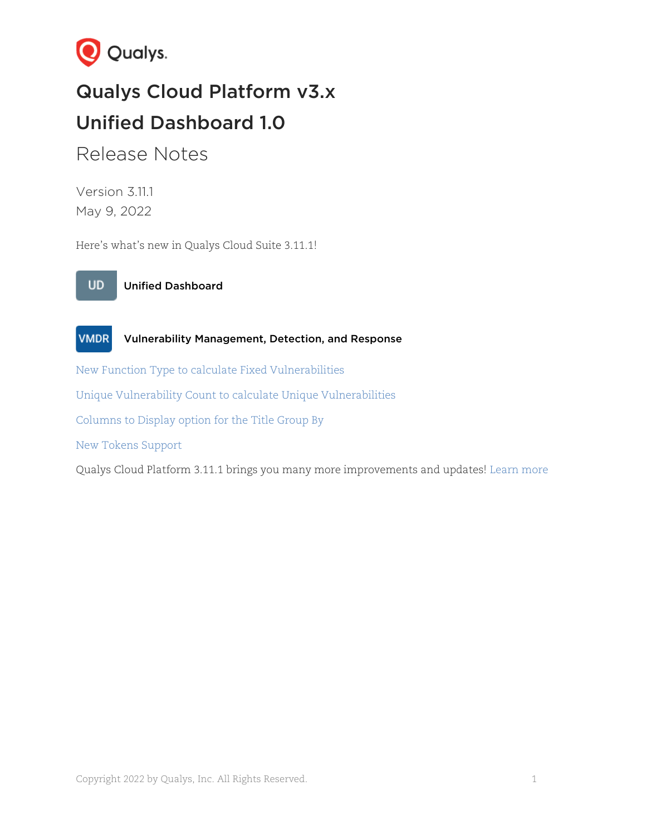

# Qualys Cloud Platform v3.x Unified Dashboard 1.0

## Release Notes

Version 3.11.1 May 9, 2022

Here's what's new in Qualys Cloud Suite 3.11.1!





[New Function Type to calculate Fixed Vulnerabilities](#page-1-0)

[Unique Vulnerability Count to calculate Unique Vulnerabilities](#page-2-0)

[Columns to Display option for the Title Group By](#page-3-0)

[New Tokens Support](#page-3-1)

Qualys Cloud Platform 3.11.1 brings you many more improvements and updates! [Learn more](#page-4-0)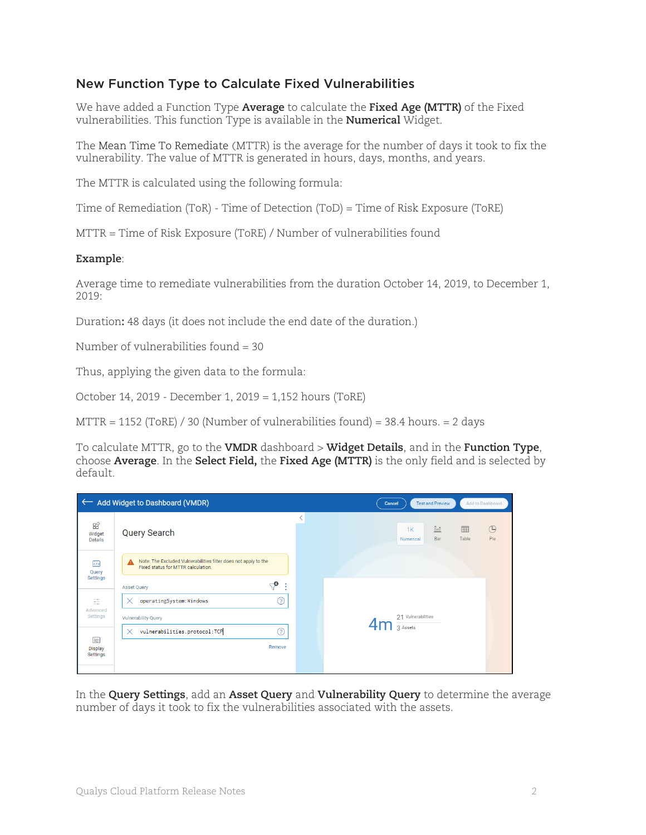### <span id="page-1-0"></span>New Function Type to Calculate Fixed Vulnerabilities

We have added a Function Type **Average** to calculate the **Fixed Age (MTTR)** of the Fixed vulnerabilities. This function Type is available in the **Numerical** Widget.

The Mean Time To Remediate (MTTR) is the average for the number of days it took to fix the vulnerability. The value of MTTR is generated in hours, days, months, and years.

The MTTR is calculated using the following formula:

Time of Remediation (ToR) - Time of Detection (ToD) = Time of Risk Exposure (ToRE)

MTTR = Time of Risk Exposure (ToRE) / Number of vulnerabilities found

#### **Example**:

Average time to remediate vulnerabilities from the duration October 14, 2019, to December 1,  $2019.$ 

Duration**:** 48 days (it does not include the end date of the duration.)

Number of vulnerabilities found = 30

Thus, applying the given data to the formula:

October 14, 2019 - December 1, 2019 = 1,152 hours (ToRE)

 $MTTR = 1152$  (ToRE) / 30 (Number of vulnerabilities found) = 38.4 hours. = 2 days

To calculate MTTR, go to the **VMDR** dashboard > **Widget Details**, and in the **Function Type**, choose **Average**. In the **Select Field,** the **Fixed Age (MTTR)** is the only field and is selected by default.

| ← Add Widget to Dashboard (VMDR)<br><b>Test and Preview</b><br>Add to Dashboard<br>Cancel |                                                                                                            |  |                                                                         |  |  |  |  |  |
|-------------------------------------------------------------------------------------------|------------------------------------------------------------------------------------------------------------|--|-------------------------------------------------------------------------|--|--|--|--|--|
| $B_0^Q$<br>Widget<br>Details                                                              | <b>Query Search</b>                                                                                        |  | $\oplus$<br>囲<br>$\mathbb{I}$<br>1K<br>Pie<br>Table<br>Bar<br>Numerical |  |  |  |  |  |
| $\sqrt{2}$<br>Query<br>Settings                                                           | Note: The Excluded Vulnerabilities filter does not apply to the<br>A<br>Fixed status for MTTR calculation. |  |                                                                         |  |  |  |  |  |
|                                                                                           | ্∕ু<br>- 5<br><b>Asset Query</b>                                                                           |  |                                                                         |  |  |  |  |  |
| 壬<br>Advanced<br>Settings                                                                 | ?<br>operatingSystem:Windows<br>$\times$                                                                   |  |                                                                         |  |  |  |  |  |
|                                                                                           | <b>Vulnerability Query</b>                                                                                 |  | 21 Vulnerabilities                                                      |  |  |  |  |  |
| 圍<br>Display<br>Settings                                                                  | vulnerabilities.protocol:TCP<br>ඹ<br>X                                                                     |  | 3 Assets                                                                |  |  |  |  |  |
|                                                                                           | Remove                                                                                                     |  |                                                                         |  |  |  |  |  |
|                                                                                           |                                                                                                            |  |                                                                         |  |  |  |  |  |

In the **Query Settings**, add an **Asset Query** and **Vulnerability Query** to determine the average number of days it took to fix the vulnerabilities associated with the assets.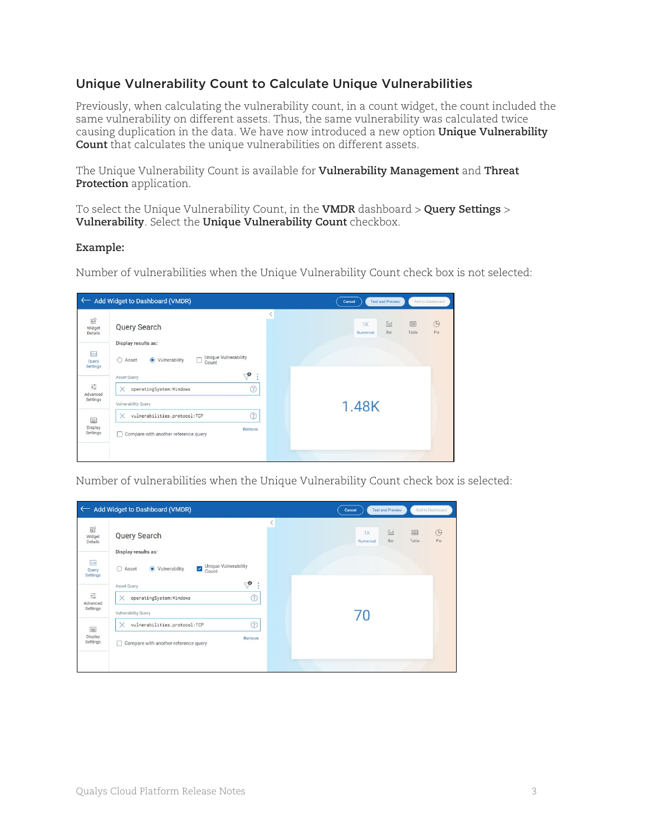### <span id="page-2-0"></span>Unique Vulnerability Count to Calculate Unique Vulnerabilities

Previously, when calculating the vulnerability count, in a count widget, the count included the same vulnerability on different assets. Thus, the same vulnerability was calculated twice causing duplication in the data. We have now introduced a new option **Unique Vulnerability Count** that calculates the unique vulnerabilities on different assets.

The Unique Vulnerability Count is available for **Vulnerability Management** and **Threat Protection** application.

To select the Unique Vulnerability Count, in the **VMDR** dashboard > **Query Settings** > **Vulnerability**. Select the **Unique Vulnerability Count** checkbox.

#### **Example:**

Number of vulnerabilities when the Unique Vulnerability Count check box is not selected:



Number of vulnerabilities when the Unique Vulnerability Count check box is selected:

| Add Widget to Dashboard (VMDR)<br>$\leftarrow$ |                                                                                |  | <b>Test and Preview</b><br>Cancel      | Add to Dashboard                     |
|------------------------------------------------|--------------------------------------------------------------------------------|--|----------------------------------------|--------------------------------------|
| $B_0^\circ$<br>Widget<br>Details               | <b>Query Search</b><br>Display results as:                                     |  | $\mathbb{I}$<br>1K<br>Bar<br>Numerical | $\circledcirc$<br>囲<br>Table<br>Pie. |
| $\overline{\langle}$<br>Query<br>Settings      | Unique Vulnerability<br>$\checkmark$<br>● Vulnerability<br>∩<br>Asset<br>Count |  |                                        |                                      |
| 壬<br>Advanced                                  | ூ<br>÷<br>Asset Query<br>☺<br>operatingSystem: Windows<br>$\times$             |  |                                        |                                      |
| Settings<br>国<br><b>Display</b><br>Settings    | Vulnerability Query<br>☺<br>$\times$<br>vulnerabilities.protocol:TCP           |  | 70                                     |                                      |
|                                                | Remove<br>Compare with another reference query                                 |  |                                        |                                      |
|                                                |                                                                                |  |                                        |                                      |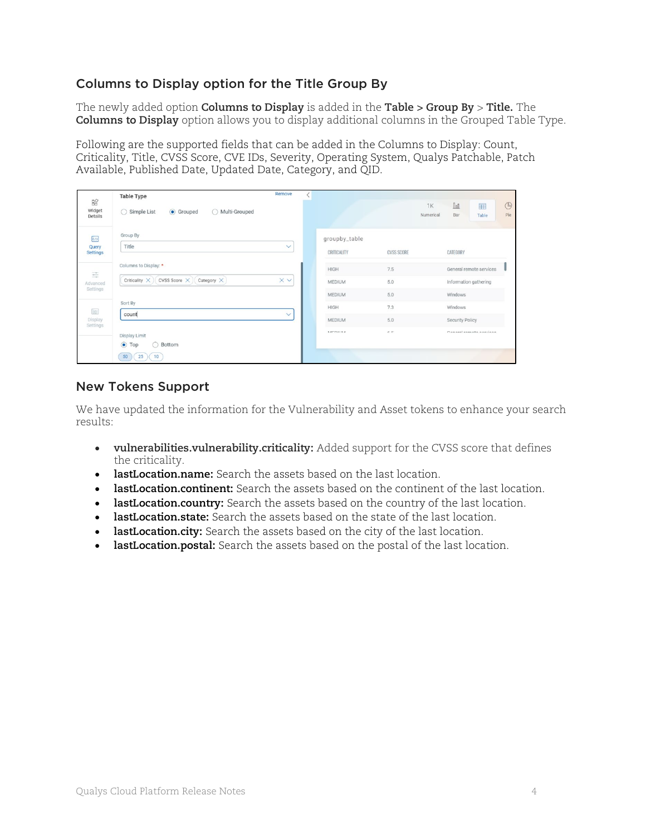### <span id="page-3-0"></span>Columns to Display option for the Title Group By

The newly added option **Columns to Display** is added in the **Table > Group By** > **Title.** The **Columns to Display** option allows you to display additional columns in the Grouped Table Type.

Following are the supported fields that can be added in the Columns to Display: Count, Criticality, Title, CVSS Score, CVE IDs, Severity, Operating System, Qualys Patchable, Patch Available, Published Date, Updated Date, Category, and QID.

| $B_0^{\circ}$<br>Widget<br>Details               | <b>Table Type</b><br>◯ Simple List<br>$\bigcap$<br>Multi-Grouped<br>Grouped | Remove       |                                        |                   | $\circledcirc$<br>$\underline{\text{fin}}$<br>⊞<br><b>1K</b><br>Pie<br>Numerical<br>Bar<br>Table |
|--------------------------------------------------|-----------------------------------------------------------------------------|--------------|----------------------------------------|-------------------|--------------------------------------------------------------------------------------------------|
| $\overline{\langle}$<br>Query<br><b>Settings</b> | Group By<br>Title                                                           | $\checkmark$ | groupby_table<br>CRITICALITY           | <b>CVSS SCORE</b> | CATEGORY                                                                                         |
| 壬<br>Advanced<br>Settings                        | Columns to Display: *<br>CVSS Score X<br>Category $\times$<br>Criticality X | <b>XV</b>    | HIGH<br><b>MEDIUM</b><br><b>MEDIUM</b> | 7.5<br>5.0<br>5.0 | General remote services<br>Information gathering<br>Windows                                      |
| 匡<br>Display<br>Settings                         | Sort By<br>count                                                            | $\checkmark$ | HIGH<br>MEDIUM                         | 7.3<br>5.0        | Windows<br>Security Policy                                                                       |
|                                                  | Display Limit<br>$\bullet$ Top<br>Bottom<br>∩<br>25<br>50<br>10             |              | A SEDUCIA A                            | $c$ $c$           | Canaral ramata anniana                                                                           |

#### <span id="page-3-1"></span>New Tokens Support

We have updated the information for the Vulnerability and Asset tokens to enhance your search results:

- **vulnerabilities.vulnerability.criticality:** Added support for the CVSS score that defines the criticality.
- **[lastLocation.name:](javascript:TextPopup(this))** Search the assets based on the last location.
- **[lastLocation.continent:](javascript:TextPopup(this))** Search the assets based on the continent of the last location.
- **[lastLocation.country:](javascript:TextPopup(this))** Search the assets based on the country of the last location.
- **[lastLocation.state:](javascript:TextPopup(this))** Search the assets based on the state of the last location.
- **[lastLocation.city:](javascript:TextPopup(this))** Search the assets based on the city of the last location.
- **[lastLocation.postal:](javascript:TextPopup(this))** Search the assets based on the postal of the last location.